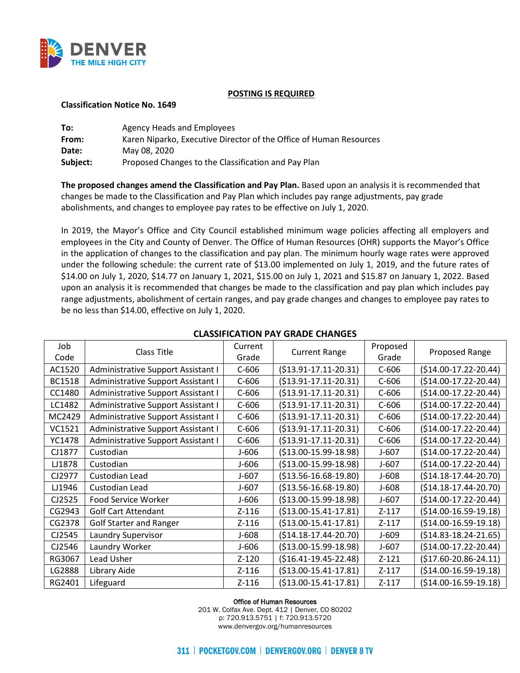

### **POSTING IS REQUIRED**

### **Classification Notice No. 1649**

| To:      | Agency Heads and Employees                                         |
|----------|--------------------------------------------------------------------|
| From:    | Karen Niparko, Executive Director of the Office of Human Resources |
| Date:    | May 08, 2020                                                       |
| Subject: | Proposed Changes to the Classification and Pay Plan                |

**The proposed changes amend the Classification and Pay Plan.** Based upon an analysis it is recommended that changes be made to the Classification and Pay Plan which includes pay range adjustments, pay grade abolishments, and changes to employee pay rates to be effective on July 1, 2020.

In 2019, the Mayor's Office and City Council established minimum wage policies affecting all employers and employees in the City and County of Denver. The Office of Human Resources (OHR) supports the Mayor's Office in the application of changes to the classification and pay plan. The minimum hourly wage rates were approved under the following schedule: the current rate of \$13.00 implemented on July 1, 2019, and the future rates of \$14.00 on July 1, 2020, \$14.77 on January 1, 2021, \$15.00 on July 1, 2021 and \$15.87 on January 1, 2022. Based upon an analysis it is recommended that changes be made to the classification and pay plan which includes pay range adjustments, abolishment of certain ranges, and pay grade changes and changes to employee pay rates to be no less than \$14.00, effective on July 1, 2020.

| Job           | Class Title                               | Current |                             | Proposed  | Proposed Range             |  |
|---------------|-------------------------------------------|---------|-----------------------------|-----------|----------------------------|--|
| Code          |                                           | Grade   | <b>Current Range</b>        | Grade     |                            |  |
| AC1520        | Administrative Support Assistant I        | $C-606$ | $( $13.91 - 17.11 - 20.31)$ | $C-606$   | $($14.00-17.22-20.44)$     |  |
| BC1518        | Administrative Support Assistant I        | $C-606$ | $(513.91 - 17.11 - 20.31)$  | $C-606$   | $($14.00-17.22-20.44)$     |  |
| CC1480        | <b>Administrative Support Assistant I</b> | $C-606$ | $(513.91 - 17.11 - 20.31)$  | $C-606$   | $($14.00-17.22-20.44)$     |  |
| LC1482        | <b>Administrative Support Assistant I</b> | $C-606$ | $(513.91 - 17.11 - 20.31)$  | $C-606$   | $($14.00-17.22-20.44)$     |  |
| MC2429        | Administrative Support Assistant I        | $C-606$ | $( $13.91 - 17.11 - 20.31)$ | $C-606$   | $($14.00-17.22-20.44)$     |  |
| VC1521        | <b>Administrative Support Assistant I</b> | $C-606$ | $( $13.91 - 17.11 - 20.31)$ | $C-606$   | $($14.00-17.22-20.44)$     |  |
| <b>YC1478</b> | Administrative Support Assistant I        | $C-606$ | $(513.91 - 17.11 - 20.31)$  | $C-606$   | $($14.00-17.22-20.44)$     |  |
| CJ1877        | Custodian                                 | $J-606$ | $($13.00-15.99-18.98)$      | $J-607$   | $(514.00-17.22-20.44)$     |  |
| LJ1878        | Custodian                                 | $J-606$ | $($13.00-15.99-18.98)$      | J-607     | $($14.00-17.22-20.44)$     |  |
| CJ2977        | Custodian Lead                            | $J-607$ | $($13.56-16.68-19.80)$      | J-608     | $($14.18-17.44-20.70)$     |  |
| LJ1946        | Custodian Lead                            | J-607   | $($13.56-16.68-19.80)$      | J-608     | $($14.18-17.44-20.70)$     |  |
| CJ2525        | Food Service Worker                       | $J-606$ | $(513.00-15.99-18.98)$      | J-607     | $($14.00-17.22-20.44)$     |  |
| CG2943        | <b>Golf Cart Attendant</b>                | $Z-116$ | $( $13.00-15.41-17.81)$     | $Z-117$   | $($14.00-16.59-19.18)$     |  |
| CG2378        | <b>Golf Starter and Ranger</b>            | $Z-116$ | $( $13.00-15.41-17.81)$     | $Z-117$   | $($14.00-16.59-19.18)$     |  |
| CJ2545        | Laundry Supervisor                        | $J-608$ | $( $14.18-17.44-20.70)$     | J-609     | $(514.83 - 18.24 - 21.65)$ |  |
| CJ2546        | Laundry Worker                            | $J-606$ | $($13.00-15.99-18.98)$      | J-607     | $($14.00-17.22-20.44)$     |  |
| RG3067        | Lead Usher                                | Z-120   | $($16.41-19.45-22.48)$      | $Z - 121$ | $($17.60-20.86-24.11)$     |  |
| LG2888        | Library Aide                              | $Z-116$ | $( $13.00-15.41-17.81)$     | $Z-117$   | $($14.00-16.59-19.18)$     |  |
| RG2401        | Lifeguard                                 | Z-116   | $( $13.00-15.41-17.81)$     | $Z-117$   | $($14.00-16.59-19.18)$     |  |

# **CLASSIFICATION PAY GRADE CHANGES**

Office of Human Resources

201 W. Colfax Ave. Dept. 412 | Denver, CO 80202 p: 720.913.5751 | f: 720.913.5720 www.denvergov.org/humanresources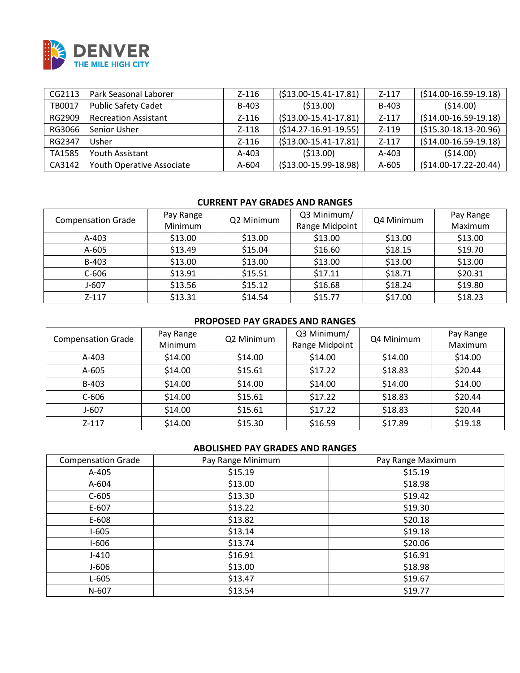

| CG2113 | Park Seasonal Laborer       | $Z-116$   | $( $13.00-15.41-17.81)$    | $Z - 117$ | $(514.00-16.59-19.18)$  |
|--------|-----------------------------|-----------|----------------------------|-----------|-------------------------|
| TB0017 | <b>Public Safety Cadet</b>  | $B-403$   | (513.00)                   | B-403     | (514.00)                |
| RG2909 | <b>Recreation Assistant</b> | $Z-116$   | $( $13.00-15.41-17.81)$    | $Z - 117$ | $(514.00-16.59-19.18)$  |
| RG3066 | Senior Usher                | Z-118     | $(514.27 - 16.91 - 19.55)$ | $Z - 119$ | $( $15.30-18.13-20.96)$ |
| RG2347 | Usher                       | $Z-116$   | $( $13.00-15.41-17.81)$    | $Z-117$   | $(514.00-16.59-19.18)$  |
| TA1585 | Youth Assistant             | $A - 403$ | (513.00)                   | $A-403$   | (514.00)                |
| CA3142 | Youth Operative Associate   | $A - 604$ | $( $13.00-15.99-18.98)$    | A-605     | $($14.00-17.22-20.44)$  |

## **CURRENT PAY GRADES AND RANGES**

| <b>Compensation Grade</b> | Pay Range | Q2 Minimum | Q3 Minimum/    | Q4 Minimum | Pay Range |
|---------------------------|-----------|------------|----------------|------------|-----------|
|                           | Minimum   |            | Range Midpoint |            | Maximum   |
| $A-403$                   | \$13.00   | \$13.00    | \$13.00        | \$13.00    | \$13.00   |
| A-605                     | \$13.49   | \$15.04    | \$16.60        | \$18.15    | \$19.70   |
| B-403                     | \$13.00   | \$13.00    | \$13.00        | \$13.00    | \$13.00   |
| $C-606$                   | \$13.91   | \$15.51    | \$17.11        | \$18.71    | \$20.31   |
| J-607                     | \$13.56   | \$15.12    | \$16.68        | \$18.24    | \$19.80   |
| $Z - 117$                 | \$13.31   | \$14.54    | \$15.77        | \$17.00    | \$18.23   |

### **PROPOSED PAY GRADES AND RANGES**

| <b>Compensation Grade</b> | Pay Range<br>Minimum | Q2 Minimum | Q3 Minimum/<br>Range Midpoint | Q4 Minimum | Pay Range<br>Maximum |
|---------------------------|----------------------|------------|-------------------------------|------------|----------------------|
| $A-403$                   | \$14.00              | \$14.00    | \$14.00                       | \$14.00    | \$14.00              |
| A-605                     | \$14.00              | \$15.61    | \$17.22                       | \$18.83    | \$20.44              |
| B-403                     | \$14.00              | \$14.00    | \$14.00                       | \$14.00    | \$14.00              |
| $C - 606$                 | \$14.00              | \$15.61    | \$17.22                       | \$18.83    | \$20.44              |
| J-607                     | \$14.00              | \$15.61    | \$17.22                       | \$18.83    | \$20.44              |
| Z-117                     | \$14.00              | \$15.30    | \$16.59                       | \$17.89    | \$19.18              |

# **ABOLISHED PAY GRADES AND RANGES**

| <b>Compensation Grade</b> | Pay Range Minimum | Pay Range Maximum |
|---------------------------|-------------------|-------------------|
| A-405                     | \$15.19           | \$15.19           |
| A-604                     | \$13.00           | \$18.98           |
| $C-605$                   | \$13.30           | \$19.42           |
| E-607                     | \$13.22           | \$19.30           |
| E-608                     | \$13.82           | \$20.18           |
| $I-605$                   | \$13.14           | \$19.18           |
| $1 - 606$                 | \$13.74           | \$20.06           |
| J-410                     | \$16.91           | \$16.91           |
| $J-606$                   | \$13.00           | \$18.98           |
| $L-605$                   | \$13.47           | \$19.67           |
| N-607                     | \$13.54           | \$19.77           |